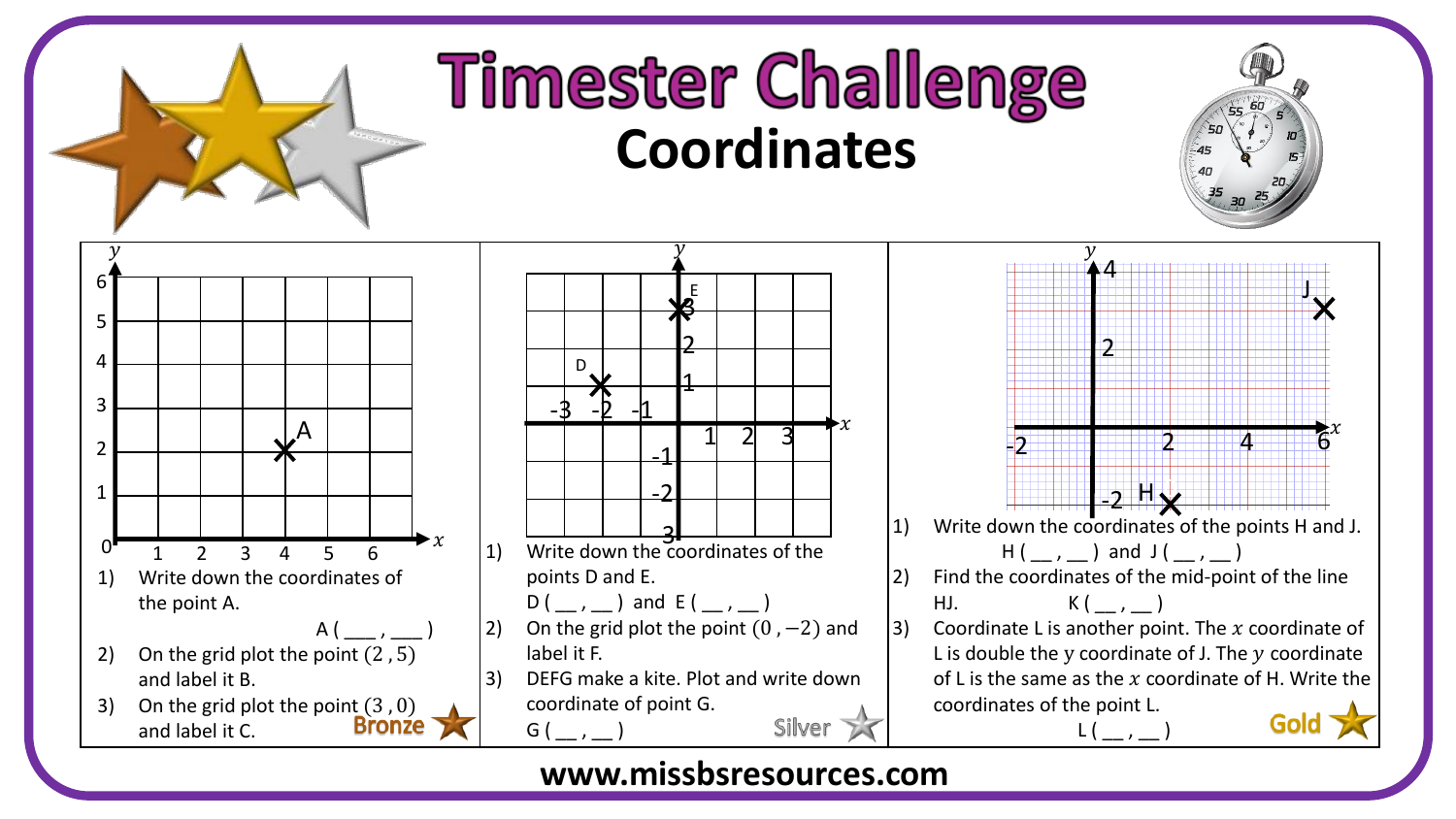

## **Timester Challenge Coordinates**



## **www.missbsresources.com**